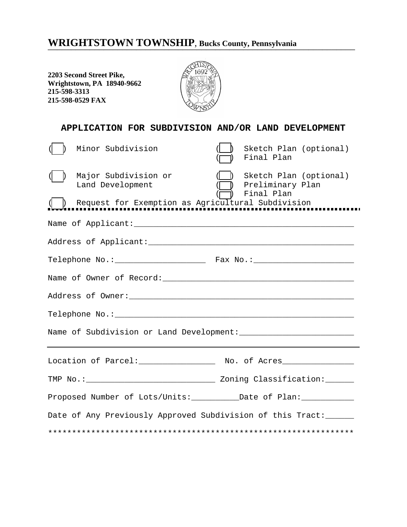## WRIGHTSTOWN TOWNSHIP, Bucks County, Pennsylvania

**2203 Second Street Pike, Wrightstown, PA 18940-9662 215-598-3313 215-598-0529 FAX**



| APPLICATION FOR SUBDIVISION AND/OR LAND DEVELOPMENT                                           |                                                          |  |  |  |  |  |
|-----------------------------------------------------------------------------------------------|----------------------------------------------------------|--|--|--|--|--|
| Minor Subdivision                                                                             | Sketch Plan (optional)<br>Final Plan                     |  |  |  |  |  |
| Major Subdivision or<br>Land Development<br>Request for Exemption as Agricultural Subdivision | Sketch Plan (optional)<br>Preliminary Plan<br>Final Plan |  |  |  |  |  |
|                                                                                               |                                                          |  |  |  |  |  |
|                                                                                               |                                                          |  |  |  |  |  |
|                                                                                               |                                                          |  |  |  |  |  |
|                                                                                               |                                                          |  |  |  |  |  |
|                                                                                               |                                                          |  |  |  |  |  |
|                                                                                               |                                                          |  |  |  |  |  |
|                                                                                               |                                                          |  |  |  |  |  |
| Location of Parcel: __________________ No. of Acres_______________                            |                                                          |  |  |  |  |  |
| TMP No.: ___________________________________ Zoning Classification: _______                   |                                                          |  |  |  |  |  |
|                                                                                               |                                                          |  |  |  |  |  |
| Date of Any Previously Approved Subdivision of this Tract: _____                              |                                                          |  |  |  |  |  |
|                                                                                               |                                                          |  |  |  |  |  |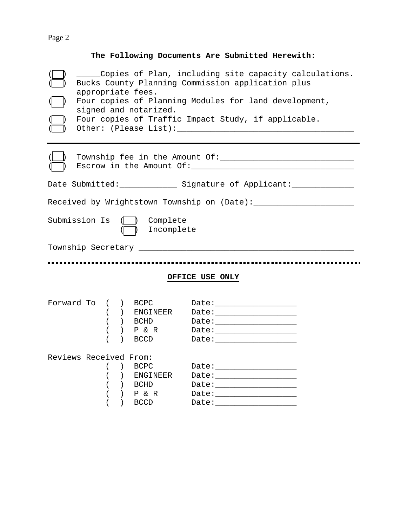## Page 2

## **The Following Documents Are Submitted Herewith:**

|  | Copies of Plan, including site capacity calculations.<br>Bucks County Planning Commission application plus<br>appropriate fees.<br>Four copies of Planning Modules for land development,<br>signed and notarized.<br>Four copies of Traffic Impact Study, if applicable.<br>Other: (Please List): North and Contact the Contract of the Contract of the Contract of the Contract of the Co |           |                                |                                                                                                                                                                                                                                |  |  |  |
|--|--------------------------------------------------------------------------------------------------------------------------------------------------------------------------------------------------------------------------------------------------------------------------------------------------------------------------------------------------------------------------------------------|-----------|--------------------------------|--------------------------------------------------------------------------------------------------------------------------------------------------------------------------------------------------------------------------------|--|--|--|
|  |                                                                                                                                                                                                                                                                                                                                                                                            |           |                                |                                                                                                                                                                                                                                |  |  |  |
|  |                                                                                                                                                                                                                                                                                                                                                                                            |           |                                | Date Submitted: ______________ Signature of Applicant: ______________                                                                                                                                                          |  |  |  |
|  | Received by Wrightstown Township on (Date): ______________________                                                                                                                                                                                                                                                                                                                         |           |                                |                                                                                                                                                                                                                                |  |  |  |
|  | Submission Is                                                                                                                                                                                                                                                                                                                                                                              |           | Complete<br>Incomplete         |                                                                                                                                                                                                                                |  |  |  |
|  |                                                                                                                                                                                                                                                                                                                                                                                            |           |                                |                                                                                                                                                                                                                                |  |  |  |
|  | <br>OFFICE USE ONLY                                                                                                                                                                                                                                                                                                                                                                        |           |                                |                                                                                                                                                                                                                                |  |  |  |
|  |                                                                                                                                                                                                                                                                                                                                                                                            |           |                                |                                                                                                                                                                                                                                |  |  |  |
|  | Forward To ( ) BCPC                                                                                                                                                                                                                                                                                                                                                                        |           |                                |                                                                                                                                                                                                                                |  |  |  |
|  |                                                                                                                                                                                                                                                                                                                                                                                            |           | ) ENGINEER                     | Date: _______________________                                                                                                                                                                                                  |  |  |  |
|  | $\left($                                                                                                                                                                                                                                                                                                                                                                                   | ) BCHD    |                                |                                                                                                                                                                                                                                |  |  |  |
|  |                                                                                                                                                                                                                                                                                                                                                                                            | $\lambda$ | $\left.\right\}$ P & R<br>BCCD |                                                                                                                                                                                                                                |  |  |  |
|  |                                                                                                                                                                                                                                                                                                                                                                                            |           |                                |                                                                                                                                                                                                                                |  |  |  |
|  | Reviews Received From:                                                                                                                                                                                                                                                                                                                                                                     |           |                                |                                                                                                                                                                                                                                |  |  |  |
|  | $\left($                                                                                                                                                                                                                                                                                                                                                                                   | ) BCPC    |                                |                                                                                                                                                                                                                                |  |  |  |
|  |                                                                                                                                                                                                                                                                                                                                                                                            |           | ) ENGINEER                     |                                                                                                                                                                                                                                |  |  |  |
|  | $\left($                                                                                                                                                                                                                                                                                                                                                                                   | ) BCHD    |                                | Date: _______________________                                                                                                                                                                                                  |  |  |  |
|  | $\left($                                                                                                                                                                                                                                                                                                                                                                                   | ) BCCD    | $)$ $P & R$                    | Date: the contract of the contract of the contract of the contract of the contract of the contract of the contract of the contract of the contract of the contract of the contract of the contract of the contract of the cont |  |  |  |
|  |                                                                                                                                                                                                                                                                                                                                                                                            |           |                                |                                                                                                                                                                                                                                |  |  |  |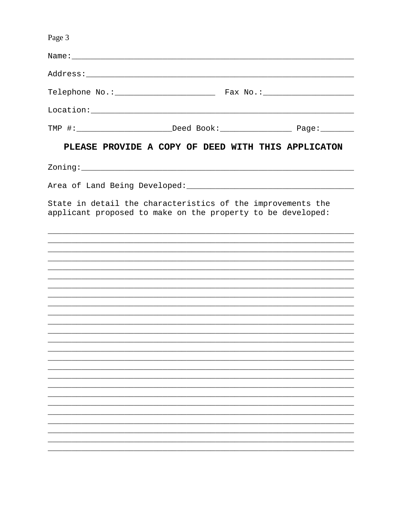| Page 3                                                                                                                                                                                                         |  |  |  |  |  |  |
|----------------------------------------------------------------------------------------------------------------------------------------------------------------------------------------------------------------|--|--|--|--|--|--|
|                                                                                                                                                                                                                |  |  |  |  |  |  |
|                                                                                                                                                                                                                |  |  |  |  |  |  |
|                                                                                                                                                                                                                |  |  |  |  |  |  |
|                                                                                                                                                                                                                |  |  |  |  |  |  |
|                                                                                                                                                                                                                |  |  |  |  |  |  |
| PLEASE PROVIDE A COPY OF DEED WITH THIS APPLICATON                                                                                                                                                             |  |  |  |  |  |  |
|                                                                                                                                                                                                                |  |  |  |  |  |  |
| Area of Land Being Developed: National Communications of Land Being Developed:                                                                                                                                 |  |  |  |  |  |  |
| State in detail the characteristics of the improvements the<br>applicant proposed to make on the property to be developed:<br>,我们也不能在这里的时候,我们也不能在这里的时候,我们也不能在这里的时候,我们也不能会在这里的时候,我们也不能会在这里的时候,我们也不能会在这里的时候,我们也不 |  |  |  |  |  |  |
|                                                                                                                                                                                                                |  |  |  |  |  |  |
|                                                                                                                                                                                                                |  |  |  |  |  |  |
| <u> 1999 - Jan Samuel Barbara, margaret eta bat zuen 1999an bat zuen bat zuen bat zuen bat zuen bat zuen zuen zen</u>                                                                                          |  |  |  |  |  |  |
|                                                                                                                                                                                                                |  |  |  |  |  |  |
|                                                                                                                                                                                                                |  |  |  |  |  |  |
|                                                                                                                                                                                                                |  |  |  |  |  |  |
|                                                                                                                                                                                                                |  |  |  |  |  |  |
|                                                                                                                                                                                                                |  |  |  |  |  |  |
|                                                                                                                                                                                                                |  |  |  |  |  |  |
|                                                                                                                                                                                                                |  |  |  |  |  |  |
|                                                                                                                                                                                                                |  |  |  |  |  |  |
|                                                                                                                                                                                                                |  |  |  |  |  |  |
|                                                                                                                                                                                                                |  |  |  |  |  |  |
|                                                                                                                                                                                                                |  |  |  |  |  |  |
|                                                                                                                                                                                                                |  |  |  |  |  |  |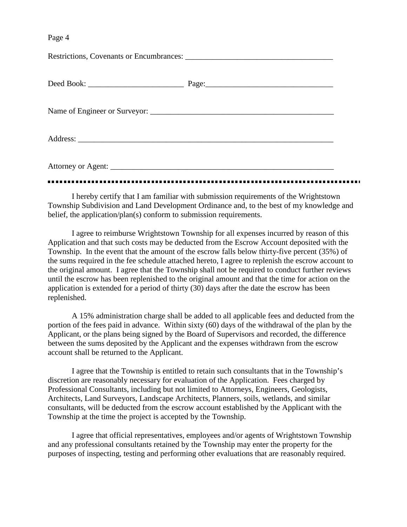Page 4

I hereby certify that I am familiar with submission requirements of the Wrightstown Township Subdivision and Land Development Ordinance and, to the best of my knowledge and belief, the application/plan(s) conform to submission requirements.

I agree to reimburse Wrightstown Township for all expenses incurred by reason of this Application and that such costs may be deducted from the Escrow Account deposited with the Township. In the event that the amount of the escrow falls below thirty-five percent (35%) of the sums required in the fee schedule attached hereto, I agree to replenish the escrow account to the original amount. I agree that the Township shall not be required to conduct further reviews until the escrow has been replenished to the original amount and that the time for action on the application is extended for a period of thirty (30) days after the date the escrow has been replenished.

A 15% administration charge shall be added to all applicable fees and deducted from the portion of the fees paid in advance. Within sixty (60) days of the withdrawal of the plan by the Applicant, or the plans being signed by the Board of Supervisors and recorded, the difference between the sums deposited by the Applicant and the expenses withdrawn from the escrow account shall be returned to the Applicant.

I agree that the Township is entitled to retain such consultants that in the Township's discretion are reasonably necessary for evaluation of the Application. Fees charged by Professional Consultants, including but not limited to Attorneys, Engineers, Geologists, Architects, Land Surveyors, Landscape Architects, Planners, soils, wetlands, and similar consultants, will be deducted from the escrow account established by the Applicant with the Township at the time the project is accepted by the Township.

I agree that official representatives, employees and/or agents of Wrightstown Township and any professional consultants retained by the Township may enter the property for the purposes of inspecting, testing and performing other evaluations that are reasonably required.